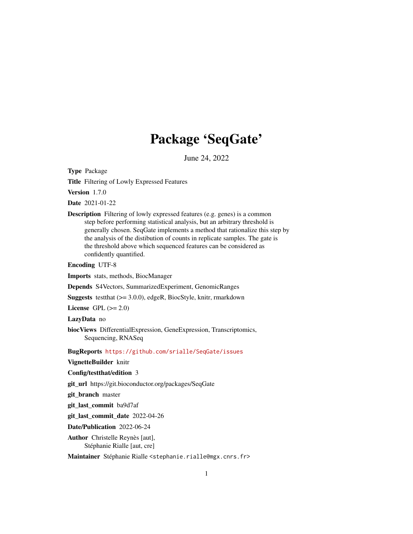## Package 'SeqGate'

June 24, 2022

Type Package

Title Filtering of Lowly Expressed Features

Version 1.7.0

Date 2021-01-22

Description Filtering of lowly expressed features (e.g. genes) is a common step before performing statistical analysis, but an arbitrary threshold is generally chosen. SeqGate implements a method that rationalize this step by the analysis of the distibution of counts in replicate samples. The gate is the threshold above which sequenced features can be considered as confidently quantified.

Encoding UTF-8

Imports stats, methods, BiocManager

Depends S4Vectors, SummarizedExperiment, GenomicRanges

Suggests testthat (>= 3.0.0), edgeR, BiocStyle, knitr, rmarkdown

License GPL  $(>= 2.0)$ 

LazyData no

biocViews DifferentialExpression, GeneExpression, Transcriptomics, Sequencing, RNASeq

BugReports <https://github.com/srialle/SeqGate/issues>

VignetteBuilder knitr

Config/testthat/edition 3

git\_url https://git.bioconductor.org/packages/SeqGate

git\_branch master

git last commit ba9d7af

git last commit date 2022-04-26

Date/Publication 2022-06-24

Author Christelle Reynès [aut], Stéphanie Rialle [aut, cre]

Maintainer Stéphanie Rialle <stephanie.rialle@mgx.cnrs.fr>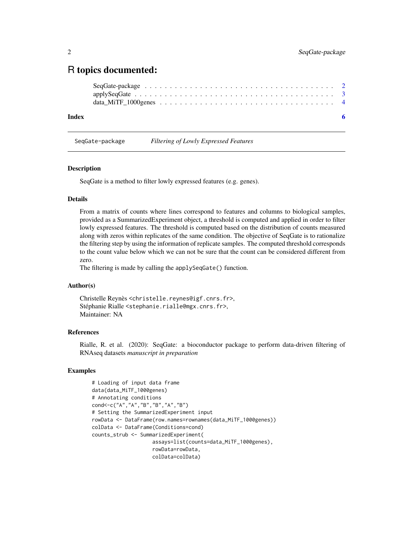### <span id="page-1-0"></span>R topics documented:

#### **Index** [6](#page-5-0) **6**

SeqGate-package *Filtering of Lowly Expressed Features*

#### **Description**

SeqGate is a method to filter lowly expressed features (e.g. genes).

#### Details

From a matrix of counts where lines correspond to features and columns to biological samples, provided as a SummarizedExperiment object, a threshold is computed and applied in order to filter lowly expressed features. The threshold is computed based on the distribution of counts measured along with zeros within replicates of the same condition. The objective of SeqGate is to rationalize the filtering step by using the information of replicate samples. The computed threshold corresponds to the count value below which we can not be sure that the count can be considered different from zero.

The filtering is made by calling the applySeqGate() function.

#### Author(s)

Christelle Reynès <christelle.reynes@igf.cnrs.fr>, Stéphanie Rialle <stephanie.rialle@mgx.cnrs.fr>, Maintainer: NA

#### References

Rialle, R. et al. (2020): SeqGate: a bioconductor package to perform data-driven filtering of RNAseq datasets *manuscript in preparation*

#### Examples

```
# Loading of input data frame
data(data_MiTF_1000genes)
# Annotating conditions
cond<-c("A","A","B","B","A","B")
# Setting the SummarizedExperiment input
rowData <- DataFrame(row.names=rownames(data_MiTF_1000genes))
colData <- DataFrame(Conditions=cond)
counts_strub <- SummarizedExperiment(
                    assays=list(counts=data_MiTF_1000genes),
                    rowData=rowData,
                    colData=colData)
```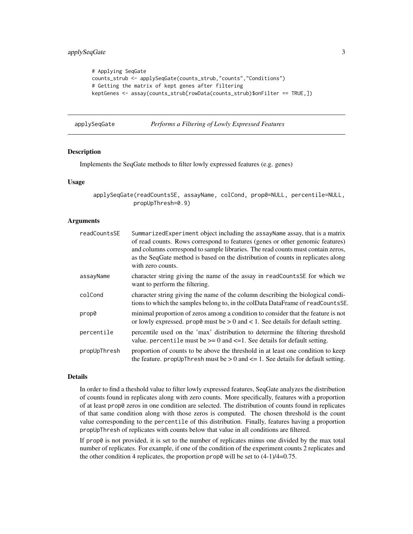```
# Applying SeqGate
counts_strub <- applySeqGate(counts_strub,"counts","Conditions")
# Getting the matrix of kept genes after filtering
keptGenes <- assay(counts_strub[rowData(counts_strub)$onFilter == TRUE,])
```
applySeqGate *Performs a Filtering of Lowly Expressed Features*

#### Description

Implements the SeqGate methods to filter lowly expressed features (e.g. genes)

#### Usage

applySeqGate(readCountsSE, assayName, colCond, prop0=NULL, percentile=NULL, propUpThresh=0.9)

#### Arguments

| readCountsSE | Summarized Experiment object including the assay Name assay, that is a matrix<br>of read counts. Rows correspond to features (genes or other genomic features)<br>and columns correspond to sample libraries. The read counts must contain zeros,<br>as the SeqGate method is based on the distribution of counts in replicates along<br>with zero counts. |
|--------------|------------------------------------------------------------------------------------------------------------------------------------------------------------------------------------------------------------------------------------------------------------------------------------------------------------------------------------------------------------|
| assayName    | character string giving the name of the assay in readCounts SE for which we<br>want to perform the filtering.                                                                                                                                                                                                                                              |
| colCond      | character string giving the name of the column describing the biological condi-<br>tions to which the samples belong to, in the colData DataFrame of readCountsSE.                                                                                                                                                                                         |
| prop0        | minimal proportion of zeros among a condition to consider that the feature is not<br>or lowly expressed. prop0 must be $> 0$ and $< 1$ . See details for default setting.                                                                                                                                                                                  |
| percentile   | percentile used on the 'max' distribution to determine the filtering threshold<br>value. percentile must be $\ge$ = 0 and $\le$ = 1. See details for default setting.                                                                                                                                                                                      |
| propUpThresh | proportion of counts to be above the threshold in at least one condition to keep<br>the feature. propUpThresh must be $> 0$ and $\leq 1$ . See details for default setting.                                                                                                                                                                                |

#### Details

In order to find a theshold value to filter lowly expressed features, SeqGate analyzes the distribution of counts found in replicates along with zero counts. More specifically, features with a proportion of at least prop0 zeros in one condition are selected. The distribution of counts found in replicates of that same condition along with those zeros is computed. The chosen threshold is the count value corresponding to the percentile of this distribution. Finally, features having a proportion propUpThresh of replicates with counts below that value in all conditions are filtered.

If prop0 is not provided, it is set to the number of replicates minus one divided by the max total number of replicates. For example, if one of the condition of the experiment counts 2 replicates and the other condition 4 replicates, the proportion prop0 will be set to (4-1)/4=0.75.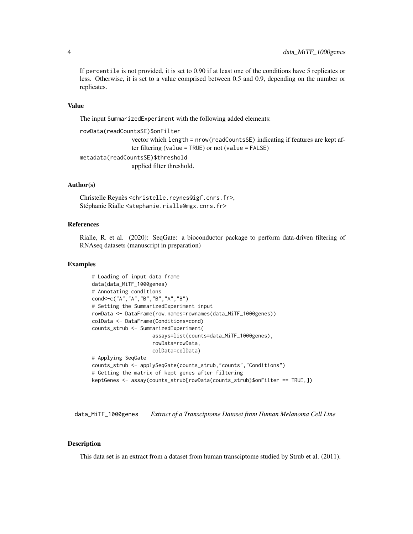If percentile is not provided, it is set to 0.90 if at least one of the conditions have 5 replicates or less. Otherwise, it is set to a value comprised between 0.5 and 0.9, depending on the number or replicates.

#### Value

The input SummarizedExperiment with the following added elements:

```
rowData(readCountsSE)$onFilter
                 vector which length = nrow(readCountsSE) indicating if features are kept af-
                 ter filtering (value = TRUE) or not (value = FALSE)
metadata(readCountsSE)$threshold
                 applied filter threshold.
```
#### Author(s)

Christelle Reynès <christelle.reynes@igf.cnrs.fr>, Stéphanie Rialle <stephanie.rialle@mgx.cnrs.fr>

#### References

Rialle, R. et al. (2020): SeqGate: a bioconductor package to perform data-driven filtering of RNAseq datasets (manuscript in preparation)

#### Examples

```
# Loading of input data frame
data(data_MiTF_1000genes)
# Annotating conditions
cond<-c("A","A","B","B","A","B")
# Setting the SummarizedExperiment input
rowData <- DataFrame(row.names=rownames(data_MiTF_1000genes))
colData <- DataFrame(Conditions=cond)
counts_strub <- SummarizedExperiment(
                    assays=list(counts=data_MiTF_1000genes),
                    rowData=rowData,
                    colData=colData)
# Applying SeqGate
counts_strub <- applySeqGate(counts_strub,"counts","Conditions")
# Getting the matrix of kept genes after filtering
keptGenes <- assay(counts_strub[rowData(counts_strub)$onFilter == TRUE,])
```
data\_MiTF\_1000genes *Extract of a Transciptome Dataset from Human Melanoma Cell Line*

#### Description

This data set is an extract from a dataset from human transciptome studied by Strub et al. (2011).

<span id="page-3-0"></span>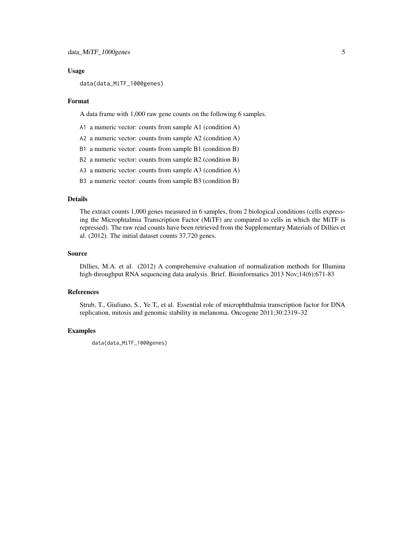#### Usage

data(data\_MiTF\_1000genes)

#### Format

A data frame with 1,000 raw gene counts on the following 6 samples.

- A1 a numeric vector: counts from sample A1 (condition A)
- A2 a numeric vector: counts from sample A2 (condition A)
- B1 a numeric vector: counts from sample B1 (condition B)
- B2 a numeric vector: counts from sample B2 (condition B)
- A3 a numeric vector: counts from sample A3 (condition A)
- B3 a numeric vector: counts from sample B3 (condition B)

#### Details

The extract counts 1,000 genes measured in 6 samples, from 2 biological conditions (cells expressing the Microphtalmia Transcription Factor (MiTF) are compared to cells in which the MiTF is repressed). The raw read counts have been retrieved from the Supplementary Materials of Dillies et al. (2012). The initial dataset counts 37,720 genes.

#### Source

Dillies, M.A. et al. (2012) A comprehensive evaluation of normalization methods for Illumina high-throughput RNA sequencing data analysis. Brief. Bioinformatics 2013 Nov;14(6):671-83

#### References

Strub, T., Giuliano, S., Ye T., et al. Essential role of microphthalmia transcription factor for DNA replication, mitosis and genomic stability in melanoma. Oncogene 2011;30:2319–32

#### Examples

```
data(data_MiTF_1000genes)
```